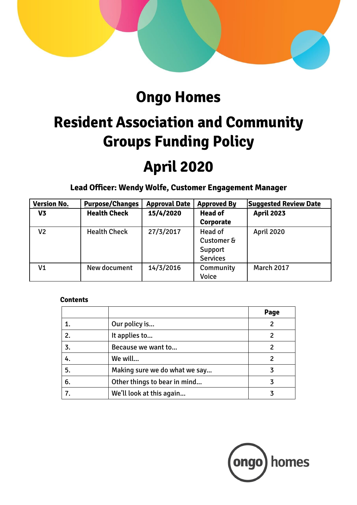

# **Ongo Homes**

# **Resident Association and Community Groups Funding Policy**

# **April 2020**

**Lead Officer: Wendy Wolfe, Customer Engagement Manager**

| <b>Version No.</b> | <b>Purpose/Changes</b> | <b>Approval Date</b> | <b>Approved By</b> | <b>Suggested Review Date</b> |
|--------------------|------------------------|----------------------|--------------------|------------------------------|
| V <sub>3</sub>     | <b>Health Check</b>    | 15/4/2020            | <b>Head of</b>     | <b>April 2023</b>            |
|                    |                        |                      | Corporate          |                              |
| V <sub>2</sub>     | <b>Health Check</b>    | 27/3/2017            | Head of            | <b>April 2020</b>            |
|                    |                        |                      | Customer &         |                              |
|                    |                        |                      | Support            |                              |
|                    |                        |                      | <b>Services</b>    |                              |
| V1                 | New document           | 14/3/2016            | Community          | <b>March 2017</b>            |
|                    |                        |                      | <b>Voice</b>       |                              |

# **Contents**

|    |                               | Page |
|----|-------------------------------|------|
|    | Our policy is                 |      |
| 2. | It applies to                 | 2    |
| 3. | Because we want to            |      |
| 4. | We will                       | 2    |
| 5. | Making sure we do what we say |      |
| 6. | Other things to bear in mind  |      |
|    | We'll look at this again      |      |

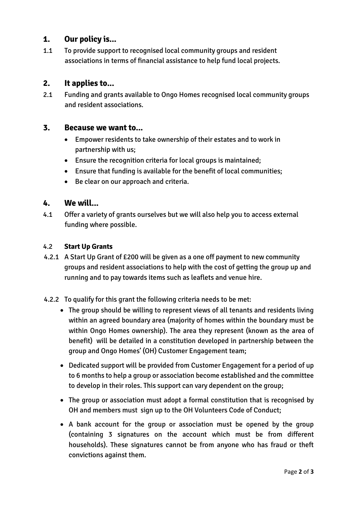# **1. Our policy is...**

1.1 To provide support to recognised local community groups and resident associations in terms of financial assistance to help fund local projects.

# **2. It applies to...**

2.1 Funding and grants available to Ongo Homes recognised local community groups and resident associations.

#### **3. Because we want to...**

- Empower residents to take ownership of their estates and to work in partnership with us;
- Ensure the recognition criteria for local groups is maintained;
- Ensure that funding is available for the benefit of local communities;
- Be clear on our approach and criteria.

#### **4. We will...**

4.1 Offer a variety of grants ourselves but we will also help you to access external funding where possible.

#### 4.2 **Start Up Grants**

- 4.2.1 A Start Up Grant of £200 will be given as a one off payment to new community groups and resident associations to help with the cost of getting the group up and running and to pay towards items such as leaflets and venue hire.
- 4.2.2 To qualify for this grant the following criteria needs to be met:
	- The group should be willing to represent views of all tenants and residents living within an agreed boundary area (majority of homes within the boundary must be within Ongo Homes ownership). The area they represent (known as the area of benefit) will be detailed in a constitution developed in partnership between the group and Ongo Homes' (OH) Customer Engagement team;
	- Dedicated support will be provided from Customer Engagement for a period of up to 6 months to help a group or association become established and the committee to develop in their roles. This support can vary dependent on the group;
	- The group or association must adopt a formal constitution that is recognised by OH and members must sign up to the OH Volunteers Code of Conduct;
	- A bank account for the group or association must be opened by the group (containing 3 signatures on the account which must be from different households). These signatures cannot be from anyone who has fraud or theft convictions against them.